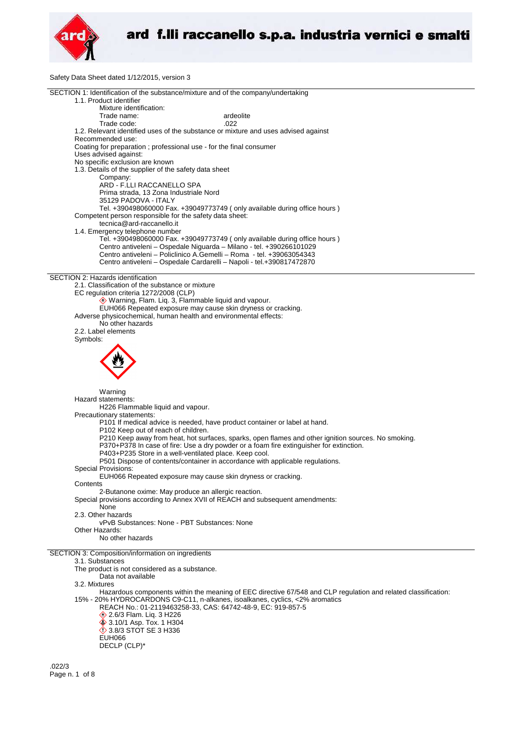

Safety Data Sheet dated 1/12/2015, version 3

| SECTION 1: Identification of the substance/mixture and of the company/undertaking<br>1.1. Product identifier   |
|----------------------------------------------------------------------------------------------------------------|
|                                                                                                                |
|                                                                                                                |
| Mixture identification:                                                                                        |
| Trade name:<br>ardeolite                                                                                       |
| Trade code:<br>.022                                                                                            |
|                                                                                                                |
| 1.2. Relevant identified uses of the substance or mixture and uses advised against                             |
| Recommended use:                                                                                               |
| Coating for preparation ; professional use - for the final consumer                                            |
| Uses advised against:                                                                                          |
| No specific exclusion are known                                                                                |
| 1.3. Details of the supplier of the safety data sheet                                                          |
| Company:                                                                                                       |
|                                                                                                                |
| ARD - F.LLI RACCANELLO SPA                                                                                     |
| Prima strada, 13 Zona Industriale Nord                                                                         |
| 35129 PADOVA - ITALY                                                                                           |
| Tel. +390498060000 Fax. +39049773749 (only available during office hours)                                      |
| Competent person responsible for the safety data sheet:                                                        |
| tecnica@ard-raccanello.it                                                                                      |
| 1.4. Emergency telephone number                                                                                |
| Tel. +390498060000 Fax. +39049773749 (only available during office hours)                                      |
|                                                                                                                |
| Centro antiveleni - Ospedale Niguarda - Milano - tel. +390266101029                                            |
| Centro antiveleni - Policlinico A.Gemelli - Roma - tel. +39063054343                                           |
| Centro antiveleni - Ospedale Cardarelli - Napoli - tel.+390817472870                                           |
|                                                                                                                |
| SECTION 2: Hazards identification                                                                              |
| 2.1. Classification of the substance or mixture                                                                |
| EC regulation criteria 1272/2008 (CLP)                                                                         |
|                                                                                                                |
| Warning, Flam. Liq. 3, Flammable liquid and vapour.                                                            |
| EUH066 Repeated exposure may cause skin dryness or cracking.                                                   |
| Adverse physicochemical, human health and environmental effects:                                               |
| No other hazards                                                                                               |
| 2.2. Label elements                                                                                            |
| Symbols:                                                                                                       |
|                                                                                                                |
|                                                                                                                |
|                                                                                                                |
|                                                                                                                |
|                                                                                                                |
|                                                                                                                |
|                                                                                                                |
| Warning                                                                                                        |
| Hazard statements:                                                                                             |
| H226 Flammable liquid and vapour.                                                                              |
| Precautionary statements:                                                                                      |
| P101 If medical advice is needed, have product container or label at hand.                                     |
| P102 Keep out of reach of children.                                                                            |
|                                                                                                                |
|                                                                                                                |
| P210 Keep away from heat, hot surfaces, sparks, open flames and other ignition sources. No smoking.            |
| P370+P378 In case of fire: Use a dry powder or a foam fire extinguisher for extinction.                        |
| P403+P235 Store in a well-ventilated place. Keep cool.                                                         |
|                                                                                                                |
| P501 Dispose of contents/container in accordance with applicable regulations.                                  |
| Special Provisions:                                                                                            |
| EUH066 Repeated exposure may cause skin dryness or cracking.                                                   |
| Contents                                                                                                       |
| 2-Butanone oxime: May produce an allergic reaction.                                                            |
| Special provisions according to Annex XVII of REACH and subsequent amendments:                                 |
| None                                                                                                           |
| 2.3. Other hazards                                                                                             |
| vPvB Substances: None - PBT Substances: None                                                                   |
| Other Hazards:                                                                                                 |
|                                                                                                                |
| No other hazards                                                                                               |
|                                                                                                                |
| SECTION 3: Composition/information on ingredients                                                              |
| 3.1. Substances                                                                                                |
| The product is not considered as a substance.                                                                  |
| Data not available                                                                                             |
| 3.2. Mixtures                                                                                                  |
| Hazardous components within the meaning of EEC directive 67/548 and CLP regulation and related classification: |
|                                                                                                                |
| 15% - 20% HYDROCARDONS C9-C11, n-alkanes, isoalkanes, cyclics, <2% aromatics                                   |
| REACH No.: 01-2119463258-33, CAS: 64742-48-9, EC: 919-857-5                                                    |
| 2.6/3 Flam. Liq. 3 H226                                                                                        |
| <b>♦ 3.10/1 Asp. Tox. 1 H304</b>                                                                               |
| $\Diamond$ 3.8/3 STOT SE 3 H336                                                                                |
| <b>EUH066</b>                                                                                                  |
| DECLP (CLP)*                                                                                                   |
|                                                                                                                |

.022/3 Page n. 1 of 8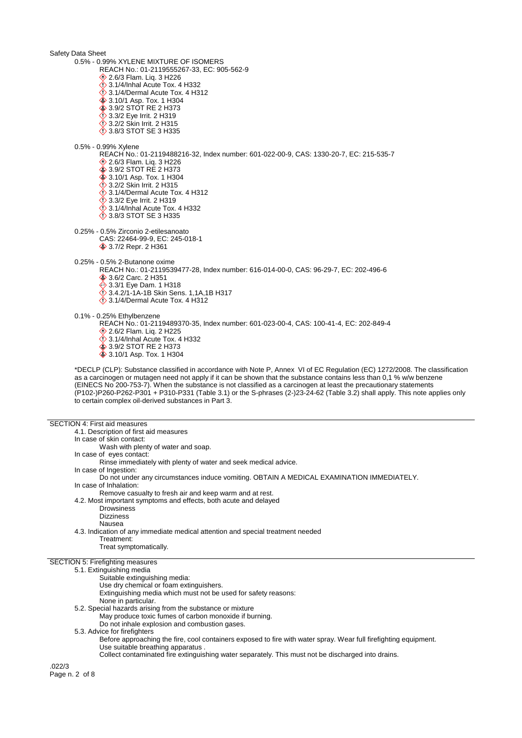Safety Data Sheet 0.5% - 0.99% XYLENE MIXTURE OF ISOMERS REACH No.: 01-2119555267-33, EC: 905-562-9 **♦ 2.6/3 Flam. Liq. 3 H226**  $\bigcirc$  3.1/4/Inhal Acute Tox. 4 H332  $\ddot{\diamond}$  3.1/4/Dermal Acute Tox. 4 H312 3.10/1 Asp. Tox. 1 H304 3.9/2 STOT RE 2 H373 **1** 3.3/2 Eye Irrit. 2 H319 3.2/2 Skin Irrit. 2 H315 3.8/3 STOT SE 3 H335 0.5% - 0.99% Xylene REACH No.: 01-2119488216-32, Index number: 601-022-00-9, CAS: 1330-20-7, EC: 215-535-7 **♦ 2.6/3 Flam. Lig. 3 H226** 3.9/2 STOT RE 2 H373 **♦ 3.10/1 Asp. Tox. 1 H304** 3.2/2 Skin Irrit. 2 H315  $\ddot{\diamond}$  3.1/4/Dermal Acute Tox. 4 H312 3.3/2 Eye Irrit. 2 H319  $\ddot{\diamond}$  3.1/4/Inhal Acute Tox. 4 H332 3.8/3 STOT SE 3 H335 0.25% - 0.5% Zirconio 2-etilesanoato CAS: 22464-99-9, EC: 245-018-1 3.7/2 Repr. 2 H361 0.25% - 0.5% 2-Butanone oxime REACH No.: 01-2119539477-28, Index number: 616-014-00-0, CAS: 96-29-7, EC: 202-496-6 3.6/2 Carc. 2 H351 3.3/1 Eye Dam. 1 H318 3.4.2/1-1A-1B Skin Sens. 1,1A,1B H317  $\Diamond$  3.1/4/Dermal Acute Tox. 4 H312 0.1% - 0.25% Ethylbenzene REACH No.: 01-2119489370-35, Index number: 601-023-00-4, CAS: 100-41-4, EC: 202-849-4 **♦ 2.6/2 Flam. Liq. 2 H225**  $\ddot{\diamond}$  3.1/4/Inhal Acute Tox. 4 H332 3.9/2 STOT RE 2 H373 **♦ 3.10/1 Asp. Tox. 1 H304** \*DECLP (CLP): Substance classified in accordance with Note P, Annex VI of EC Regulation (EC) 1272/2008. The classification as a carcinogen or mutagen need not apply if it can be shown that the substance contains less than 0,1 % w/w benzene (EINECS No 200-753-7). When the substance is not classified as a carcinogen at least the precautionary statements (P102-)P260-P262-P301 + P310-P331 (Table 3.1) or the S-phrases (2-)23-24-62 (Table 3.2) shall apply. This note applies only to certain complex oil-derived substances in Part 3. SECTION 4: First aid measures

4.1. Description of first aid measures In case of skin contact: Wash with plenty of water and soap. In case of eyes contact: Rinse immediately with plenty of water and seek medical advice. In case of Ingestion: Do not under any circumstances induce vomiting. OBTAIN A MEDICAL EXAMINATION IMMEDIATELY. In case of Inhalation: Remove casualty to fresh air and keep warm and at rest. 4.2. Most important symptoms and effects, both acute and delayed Drowsiness Dizziness Nausea 4.3. Indication of any immediate medical attention and special treatment needed Treatment: Treat symptomatically. SECTION 5: Firefighting measures 5.1. Extinguishing media Suitable extinguishing media: Use dry chemical or foam extinguishers. Extinguishing media which must not be used for safety reasons: None in particular. 5.2. Special hazards arising from the substance or mixture May produce toxic fumes of carbon monoxide if burning. Do not inhale explosion and combustion gases. 5.3. Advice for firefighters Before approaching the fire, cool containers exposed to fire with water spray. Wear full firefighting equipment. Use suitable breathing apparatus . Collect contaminated fire extinguishing water separately. This must not be discharged into drains. .022/3

Page n. 2 of 8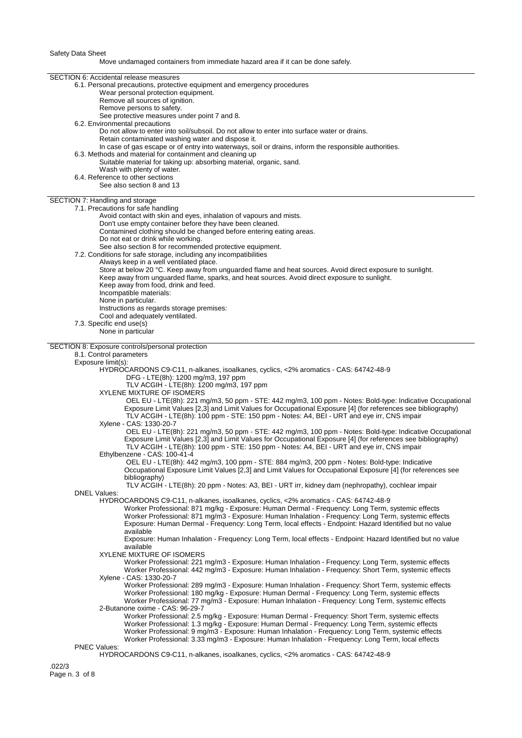Move undamaged containers from immediate hazard area if it can be done safely.

| <b>SECTION 6: Accidental release measures</b>                                                                                                                                                           |
|---------------------------------------------------------------------------------------------------------------------------------------------------------------------------------------------------------|
| 6.1. Personal precautions, protective equipment and emergency procedures                                                                                                                                |
| Wear personal protection equipment.                                                                                                                                                                     |
| Remove all sources of ignition.                                                                                                                                                                         |
| Remove persons to safety.                                                                                                                                                                               |
| See protective measures under point 7 and 8.                                                                                                                                                            |
| 6.2. Environmental precautions                                                                                                                                                                          |
| Do not allow to enter into soil/subsoil. Do not allow to enter into surface water or drains.                                                                                                            |
| Retain contaminated washing water and dispose it.                                                                                                                                                       |
| In case of gas escape or of entry into waterways, soil or drains, inform the responsible authorities.                                                                                                   |
| 6.3. Methods and material for containment and cleaning up<br>Suitable material for taking up: absorbing material, organic, sand.                                                                        |
| Wash with plenty of water.                                                                                                                                                                              |
| 6.4. Reference to other sections                                                                                                                                                                        |
| See also section 8 and 13                                                                                                                                                                               |
|                                                                                                                                                                                                         |
| SECTION 7: Handling and storage                                                                                                                                                                         |
| 7.1. Precautions for safe handling                                                                                                                                                                      |
| Avoid contact with skin and eyes, inhalation of vapours and mists.                                                                                                                                      |
| Don't use empty container before they have been cleaned.                                                                                                                                                |
| Contamined clothing should be changed before entering eating areas.                                                                                                                                     |
| Do not eat or drink while working.                                                                                                                                                                      |
| See also section 8 for recommended protective equipment.<br>7.2. Conditions for safe storage, including any incompatibilities                                                                           |
| Always keep in a well ventilated place.                                                                                                                                                                 |
| Store at below 20 °C. Keep away from unguarded flame and heat sources. Avoid direct exposure to sunlight.                                                                                               |
| Keep away from unguarded flame, sparks, and heat sources. Avoid direct exposure to sunlight.                                                                                                            |
| Keep away from food, drink and feed.                                                                                                                                                                    |
| Incompatible materials:                                                                                                                                                                                 |
| None in particular.                                                                                                                                                                                     |
| Instructions as regards storage premises:                                                                                                                                                               |
| Cool and adequately ventilated.                                                                                                                                                                         |
| 7.3. Specific end use(s)                                                                                                                                                                                |
| None in particular                                                                                                                                                                                      |
|                                                                                                                                                                                                         |
| SECTION 8: Exposure controls/personal protection                                                                                                                                                        |
| 8.1. Control parameters                                                                                                                                                                                 |
| Exposure limit(s):<br>HYDROCARDONS C9-C11, n-alkanes, isoalkanes, cyclics, <2% aromatics - CAS: 64742-48-9                                                                                              |
| DFG - LTE(8h): 1200 mg/m3, 197 ppm                                                                                                                                                                      |
| TLV ACGIH - LTE(8h): 1200 mg/m3, 197 ppm                                                                                                                                                                |
| XYLENE MIXTURE OF ISOMERS                                                                                                                                                                               |
| OEL EU - LTE(8h): 221 mg/m3, 50 ppm - STE: 442 mg/m3, 100 ppm - Notes: Bold-type: Indicative Occupational                                                                                               |
| Exposure Limit Values [2,3] and Limit Values for Occupational Exposure [4] (for references see bibliography)                                                                                            |
| TLV ACGIH - LTE(8h): 100 ppm - STE: 150 ppm - Notes: A4, BEI - URT and eye irr, CNS impair                                                                                                              |
| Xylene - CAS: 1330-20-7                                                                                                                                                                                 |
| OEL EU - LTE(8h): 221 mg/m3, 50 ppm - STE: 442 mg/m3, 100 ppm - Notes: Bold-type: Indicative Occupational                                                                                               |
| Exposure Limit Values [2,3] and Limit Values for Occupational Exposure [4] (for references see bibliography)                                                                                            |
| TLV ACGIH - LTE(8h): 100 ppm - STE: 150 ppm - Notes: A4, BEI - URT and eye irr, CNS impair                                                                                                              |
| Ethylbenzene - CAS: 100-41-4                                                                                                                                                                            |
| OEL EU - LTE(8h): 442 mg/m3, 100 ppm - STE: 884 mg/m3, 200 ppm - Notes: Bold-type: Indicative                                                                                                           |
| Occupational Exposure Limit Values [2,3] and Limit Values for Occupational Exposure [4] (for references see                                                                                             |
| bibliography)                                                                                                                                                                                           |
| TLV ACGIH - LTE(8h): 20 ppm - Notes: A3, BEI - URT irr, kidney dam (nephropathy), cochlear impair<br><b>DNEL Values:</b>                                                                                |
| HYDROCARDONS C9-C11, n-alkanes, isoalkanes, cyclics, <2% aromatics - CAS: 64742-48-9                                                                                                                    |
| Worker Professional: 871 mg/kg - Exposure: Human Dermal - Frequency: Long Term, systemic effects                                                                                                        |
| Worker Professional: 871 mg/m3 - Exposure: Human Inhalation - Frequency: Long Term, systemic effects                                                                                                    |
| Exposure: Human Dermal - Frequency: Long Term, local effects - Endpoint: Hazard Identified but no value                                                                                                 |
| available                                                                                                                                                                                               |
| Exposure: Human Inhalation - Frequency: Long Term, local effects - Endpoint: Hazard Identified but no value                                                                                             |
| available                                                                                                                                                                                               |
| <b>XYLENE MIXTURE OF ISOMERS</b>                                                                                                                                                                        |
| Worker Professional: 221 mg/m3 - Exposure: Human Inhalation - Frequency: Long Term, systemic effects                                                                                                    |
| Worker Professional: 442 mg/m3 - Exposure: Human Inhalation - Frequency: Short Term, systemic effects                                                                                                   |
| Xylene - CAS: 1330-20-7                                                                                                                                                                                 |
| Worker Professional: 289 mg/m3 - Exposure: Human Inhalation - Frequency: Short Term, systemic effects                                                                                                   |
| Worker Professional: 180 mg/kg - Exposure: Human Dermal - Frequency: Long Term, systemic effects<br>Worker Professional: 77 mg/m3 - Exposure: Human Inhalation - Frequency: Long Term, systemic effects |
| 2-Butanone oxime - CAS: 96-29-7                                                                                                                                                                         |
| Worker Professional: 2.5 mg/kg - Exposure: Human Dermal - Frequency: Short Term, systemic effects                                                                                                       |
| Worker Professional: 1.3 mg/kg - Exposure: Human Dermal - Frequency: Long Term, systemic effects                                                                                                        |
| Worker Professional: 9 mg/m3 - Exposure: Human Inhalation - Frequency: Long Term, systemic effects                                                                                                      |
| Worker Professional: 3.33 mg/m3 - Exposure: Human Inhalation - Frequency: Long Term, local effects                                                                                                      |
| <b>PNEC Values:</b>                                                                                                                                                                                     |
| HYDROCARDONS C9-C11, n-alkanes, isoalkanes, cyclics, <2% aromatics - CAS: 64742-48-9                                                                                                                    |
| .022/3                                                                                                                                                                                                  |
|                                                                                                                                                                                                         |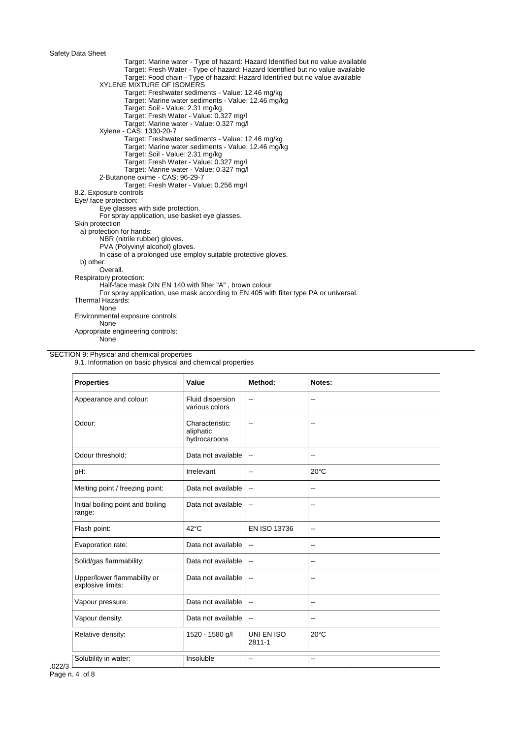Target: Marine water - Type of hazard: Hazard Identified but no value available Target: Fresh Water - Type of hazard: Hazard Identified but no value available Target: Food chain - Type of hazard: Hazard Identified but no value available XYLENE MIXTURE OF ISOMERS Target: Freshwater sediments - Value: 12.46 mg/kg Target: Marine water sediments - Value: 12.46 mg/kg Target: Soil - Value: 2.31 mg/kg Target: Fresh Water - Value: 0.327 mg/l Target: Marine water - Value: 0.327 mg/l Xylene - CAS: 1330-20-7 Target: Freshwater sediments - Value: 12.46 mg/kg Target: Marine water sediments - Value: 12.46 mg/kg Target: Soil - Value: 2.31 mg/kg Target: Fresh Water - Value: 0.327 mg/l Target: Marine water - Value: 0.327 mg/l 2-Butanone oxime - CAS: 96-29-7 Target: Fresh Water - Value: 0.256 mg/l 8.2. Exposure controls Eye/ face protection: Eye glasses with side protection. For spray application, use basket eye glasses. Skin protection a) protection for hands: NBR (nitrile rubber) gloves. PVA (Polyvinyl alcohol) gloves. In case of a prolonged use employ suitable protective gloves. b) other: Overall. Respiratory protection: Half-face mask DIN EN 140 with filter "A" , brown colour For spray application, use mask according to EN 405 with filter type PA or universal. Thermal Hazards: None Environmental exposure controls: None Appropriate engineering controls:

None

### SECTION 9: Physical and chemical properties

9.1. Information on basic physical and chemical properties

| <b>Properties</b>                                | Value                                        | Method:                  | Notes:                   |
|--------------------------------------------------|----------------------------------------------|--------------------------|--------------------------|
| Appearance and colour:                           | Fluid dispersion<br>various colors           | $\overline{\phantom{a}}$ | --                       |
| Odour:                                           | Characteristic:<br>aliphatic<br>hydrocarbons | $\overline{\phantom{a}}$ | ٠.                       |
| Odour threshold:                                 | Data not available                           | $\overline{\phantom{a}}$ | --                       |
| pH:                                              | Irrelevant                                   | $\overline{\phantom{a}}$ | $20^{\circ}$ C           |
| Melting point / freezing point:                  | Data not available                           | $\overline{\phantom{a}}$ | $\overline{\phantom{a}}$ |
| Initial boiling point and boiling<br>range:      | Data not available                           | $\overline{\phantom{a}}$ | $\overline{\phantom{a}}$ |
| Flash point:                                     | $42^{\circ}$ C                               | <b>EN ISO 13736</b>      | $\overline{\phantom{a}}$ |
| Evaporation rate:                                | Data not available                           | $\overline{\phantom{a}}$ | --                       |
| Solid/gas flammability:                          | Data not available                           | $\overline{\phantom{a}}$ | $\overline{a}$           |
| Upper/lower flammability or<br>explosive limits: | Data not available                           | $\overline{\phantom{a}}$ | --                       |
| Vapour pressure:                                 | Data not available                           | $\overline{\phantom{a}}$ | $\overline{\phantom{a}}$ |
| Vapour density:                                  | Data not available                           | $\overline{\phantom{a}}$ | $-$                      |
| Relative density:                                | 1520 - 1580 g/l                              | UNI EN ISO<br>2811-1     | $20^{\circ}$ C           |
| Solubility in water:                             | Insoluble                                    | $\overline{\phantom{a}}$ | $\overline{\phantom{a}}$ |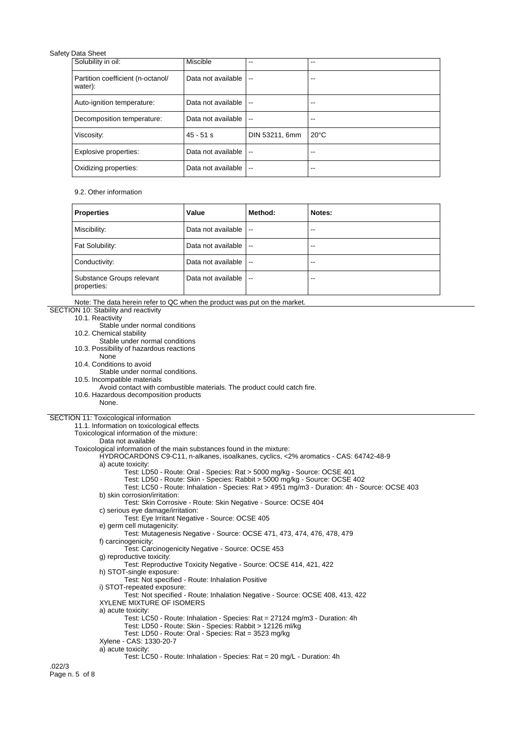| Solubility in oil:                           | Miscible           | --                       | --             |
|----------------------------------------------|--------------------|--------------------------|----------------|
| Partition coefficient (n-octanol/<br>water): | Data not available | $\sim$                   | --             |
| Auto-ignition temperature:                   | Data not available | $\sim$ $\sim$            | --             |
| Decomposition temperature:                   | Data not available | $\sim$                   | --             |
| Viscosity:                                   | $45 - 51$ s        | DIN 53211, 6mm           | $20^{\circ}$ C |
| Explosive properties:                        | Data not available | $\overline{\phantom{a}}$ | --             |
| Oxidizing properties:                        | Data not available | $\overline{\phantom{a}}$ | --             |

## 9.2. Other information

| <b>Properties</b>                        | Value              | Method:                  | Notes: |
|------------------------------------------|--------------------|--------------------------|--------|
| Miscibility:                             | Data not available | $\sim$ $\sim$            | --     |
| Fat Solubility:                          | Data not available | $\overline{\phantom{a}}$ | --     |
| Conductivity:                            | Data not available | $\overline{\phantom{a}}$ | $- -$  |
| Substance Groups relevant<br>properties: | Data not available | $\sim$                   | --     |

Note: The data herein refer to QC when the product was put on the market.

# SECTION 10: Stability and reactivity 10.1. Reactivity Stable under normal conditions 10.2. Chemical stability

- Stable under normal conditions
- 10.3. Possibility of hazardous reactions
- None
- 10.4. Conditions to avoid
- Stable under normal conditions.
- 10.5. Incompatible materials
- Avoid contact with combustible materials. The product could catch fire.
- 10.6. Hazardous decomposition products
- None.

# SECTION 11: Toxicological information

11.1. Information on toxicological effects Toxicological information of the mixture: Data not available Toxicological information of the main substances found in the mixture: HYDROCARDONS C9-C11, n-alkanes, isoalkanes, cyclics, <2% aromatics - CAS: 64742-48-9 a) acute toxicity: Test: LD50 - Route: Oral - Species: Rat > 5000 mg/kg - Source: OCSE 401 Test: LD50 - Route: Skin - Species: Rabbit > 5000 mg/kg - Source: OCSE 402 Test: LC50 - Route: Inhalation - Species: Rat > 4951 mg/m3 - Duration: 4h - Source: OCSE 403 b) skin corrosion/irritation: Test: Skin Corrosive - Route: Skin Negative - Source: OCSE 404 c) serious eye damage/irritation: Test: Eye Irritant Negative - Source: OCSE 405 e) germ cell mutagenicity: Test: Mutagenesis Negative - Source: OCSE 471, 473, 474, 476, 478, 479 f) carcinogenicity: Test: Carcinogenicity Negative - Source: OCSE 453 g) reproductive toxicity: Test: Reproductive Toxicity Negative - Source: OCSE 414, 421, 422 h) STOT-single exposure: Test: Not specified - Route: Inhalation Positive i) STOT-repeated exposure: Test: Not specified - Route: Inhalation Negative - Source: OCSE 408, 413, 422 XYLENE MIXTURE OF ISOMERS a) acute toxicity: Test: LC50 - Route: Inhalation - Species: Rat = 27124 mg/m3 - Duration: 4h Test: LD50 - Route: Skin - Species: Rabbit > 12126 ml/kg Test: LD50 - Route: Oral - Species: Rat = 3523 mg/kg Xylene - CAS: 1330-20-7 a) acute toxicity: Test: LC50 - Route: Inhalation - Species: Rat = 20 mg/L - Duration: 4h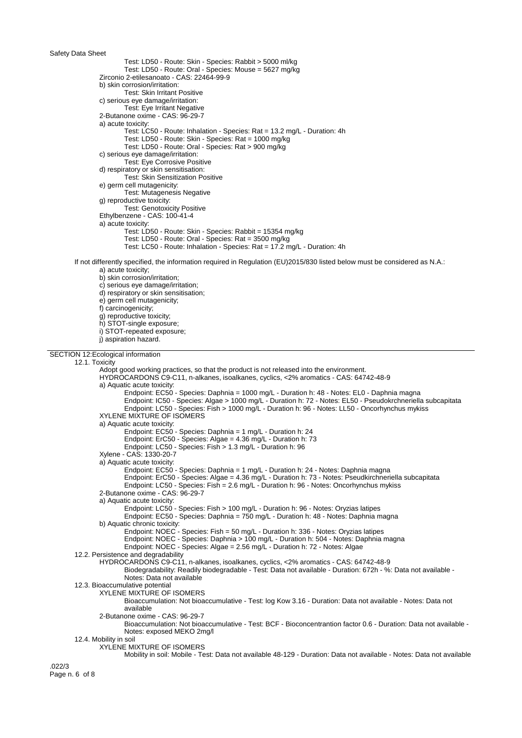Test: LD50 - Route: Skin - Species: Rabbit > 5000 ml/kg Test: LD50 - Route: Oral - Species: Mouse = 5627 mg/kg Zirconio 2-etilesanoato - CAS: 22464-99-9 b) skin corrosion/irritation: Test: Skin Irritant Positive c) serious eye damage/irritation: Test: Eye Irritant Negative 2-Butanone oxime - CAS: 96-29-7 a) acute toxicity: Test: LC50 - Route: Inhalation - Species: Rat = 13.2 mg/L - Duration: 4h Test: LD50 - Route: Skin - Species: Rat = 1000 mg/kg Test: LD50 - Route: Oral - Species: Rat > 900 mg/kg c) serious eye damage/irritation: Test: Eye Corrosive Positive d) respiratory or skin sensitisation: Test: Skin Sensitization Positive e) germ cell mutagenicity: Test: Mutagenesis Negative g) reproductive toxicity: Test: Genotoxicity Positive Ethylbenzene - CAS: 100-41-4 a) acute toxicity: Test: LD50 - Route: Skin - Species: Rabbit = 15354 mg/kg Test: LD50 - Route: Oral - Species: Rat = 3500 mg/kg Test: LC50 - Route: Inhalation - Species: Rat = 17.2 mg/L - Duration: 4h If not differently specified, the information required in Regulation (EU)2015/830 listed below must be considered as N.A.: a) acute toxicity; b) skin corrosion/irritation; c) serious eye damage/irritation; d) respiratory or skin sensitisation; e) germ cell mutagenicity; f) carcinogenicity; g) reproductive toxicity; h) STOT-single exposure; i) STOT-repeated exposure; j) aspiration hazard. SECTION 12:Ecological information 12.1. Toxicity Adopt good working practices, so that the product is not released into the environment. HYDROCARDONS C9-C11, n-alkanes, isoalkanes, cyclics, <2% aromatics - CAS: 64742-48-9 a) Aquatic acute toxicity: Endpoint: EC50 - Species: Daphnia = 1000 mg/L - Duration h: 48 - Notes: EL0 - Daphnia magna Endpoint: IC50 - Species: Algae > 1000 mg/L - Duration h: 72 - Notes: EL50 - Pseudokrchneriella subcapitata Endpoint: LC50 - Species: Fish > 1000 mg/L - Duration h: 96 - Notes: LL50 - Oncorhynchus mykiss XYLENE MIXTURE OF ISOMERS a) Aquatic acute toxicity: Endpoint: EC50 - Species: Daphnia = 1 mg/L - Duration h: 24 Endpoint: ErC50 - Species: Algae = 4.36 mg/L - Duration h: 73 Endpoint: LC50 - Species: Fish > 1.3 mg/L - Duration h: 96 Xylene - CAS: 1330-20-7 a) Aquatic acute toxicity: Endpoint: EC50 - Species: Daphnia = 1 mg/L - Duration h: 24 - Notes: Daphnia magna Endpoint: ErC50 - Species: Algae = 4.36 mg/L - Duration h: 73 - Notes: Pseudkirchneriella subcapitata Endpoint: LC50 - Species: Fish = 2.6 mg/L - Duration h: 96 - Notes: Oncorhynchus mykiss 2-Butanone oxime - CAS: 96-29-7 a) Aquatic acute toxicity: Endpoint: LC50 - Species: Fish > 100 mg/L - Duration h: 96 - Notes: Oryzias latipes Endpoint: EC50 - Species: Daphnia = 750 mg/L - Duration h: 48 - Notes: Daphnia magna b) Aquatic chronic toxicity: Endpoint: NOEC - Species: Fish = 50 mg/L - Duration h: 336 - Notes: Oryzias latipes Endpoint: NOEC - Species: Daphnia > 100 mg/L - Duration h: 504 - Notes: Daphnia magna Endpoint: NOEC - Species: Algae = 2.56 mg/L - Duration h: 72 - Notes: Algae 12.2. Persistence and degradability HYDROCARDONS C9-C11, n-alkanes, isoalkanes, cyclics, <2% aromatics - CAS: 64742-48-9 Biodegradability: Readily biodegradable - Test: Data not available - Duration: 672h - %: Data not available - Notes: Data not available 12.3. Bioaccumulative potential XYLENE MIXTURE OF ISOMERS Bioaccumulation: Not bioaccumulative - Test: log Kow 3.16 - Duration: Data not available - Notes: Data not available 2-Butanone oxime - CAS: 96-29-7 Bioaccumulation: Not bioaccumulative - Test: BCF - Bioconcentrantion factor 0.6 - Duration: Data not available - Notes: exposed MEKO 2mg/l 12.4. Mobility in soil XYLENE MIXTURE OF ISOMERS Mobility in soil: Mobile - Test: Data not available 48-129 - Duration: Data not available - Notes: Data not available

.022/3 Page n. 6 of 8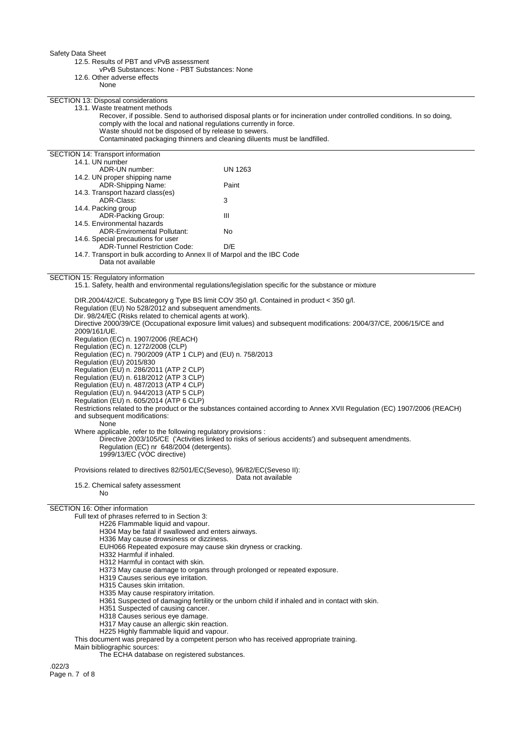12.5. Results of PBT and vPvB assessment

vPvB Substances: None - PBT Substances: None

12.6. Other adverse effects

None

SECTION 13: Disposal considerations

13.1. Waste treatment methods

Recover, if possible. Send to authorised disposal plants or for incineration under controlled conditions. In so doing, comply with the local and national regulations currently in force. Waste should not be disposed of by release to sewers.

Contaminated packaging thinners and cleaning diluents must be landfilled.

SECTION 14: Transport information 14.1. UN number ADR-UN number: UN 1263 14.2. UN proper shipping name ADR-Shipping Name: Paint 14.3. Transport hazard class(es) ADR-Class: 3 14.4. Packing group ADR-Packing Group: III 14.5. Environmental hazards ADR-Enviromental Pollutant: No 14.6. Special precautions for user ADR-Tunnel Restriction Code: D/E 14.7. Transport in bulk according to Annex II of Marpol and the IBC Code

Data not available

### SECTION 15: Regulatory information

15.1. Safety, health and environmental regulations/legislation specific for the substance or mixture

DIR.2004/42/CE. Subcategory g Type BS limit COV 350 g/l. Contained in product < 350 g/l. Regulation (EU) No 528/2012 and subsequent amendments. Dir. 98/24/EC (Risks related to chemical agents at work). Directive 2000/39/CE (Occupational exposure limit values) and subsequent modifications: 2004/37/CE, 2006/15/CE and 2009/161/UE. Regulation (EC) n. 1907/2006 (REACH) Regulation (EC) n. 1272/2008 (CLP) Regulation (EC) n. 790/2009 (ATP 1 CLP) and (EU) n. 758/2013 Regulation (EU) 2015/830 Regulation (EU) n. 286/2011 (ATP 2 CLP) Regulation (EU) n. 618/2012 (ATP 3 CLP) Regulation (EU) n. 487/2013 (ATP 4 CLP) Regulation (EU) n. 944/2013 (ATP 5 CLP) Regulation (EU) n. 605/2014 (ATP 6 CLP) Restrictions related to the product or the substances contained according to Annex XVII Regulation (EC) 1907/2006 (REACH) and subsequent modifications: None Where applicable, refer to the following regulatory provisions : Directive 2003/105/CE ('Activities linked to risks of serious accidents') and subsequent amendments. Regulation (EC) nr 648/2004 (detergents). 1999/13/EC (VOC directive)

Provisions related to directives 82/501/EC(Seveso), 96/82/EC(Seveso II):

Data not available

15.2. Chemical safety assessment No

# SECTION 16: Other information

Full text of phrases referred to in Section 3:

H226 Flammable liquid and vapour.

H304 May be fatal if swallowed and enters airways.

- H336 May cause drowsiness or dizziness.
- EUH066 Repeated exposure may cause skin dryness or cracking.
- H332 Harmful if inhaled.
- H312 Harmful in contact with skin.
- H373 May cause damage to organs through prolonged or repeated exposure.
- H319 Causes serious eye irritation.
- H315 Causes skin irritation.
- H335 May cause respiratory irritation.
- H361 Suspected of damaging fertility or the unborn child if inhaled and in contact with skin.
- H351 Suspected of causing cancer.
- H318 Causes serious eye damage.
- H317 May cause an allergic skin reaction.
- H225 Highly flammable liquid and vapour.

This document was prepared by a competent person who has received appropriate training.

Main bibliographic sources:

The ECHA database on registered substances.

.022/3 Page n. 7 of 8